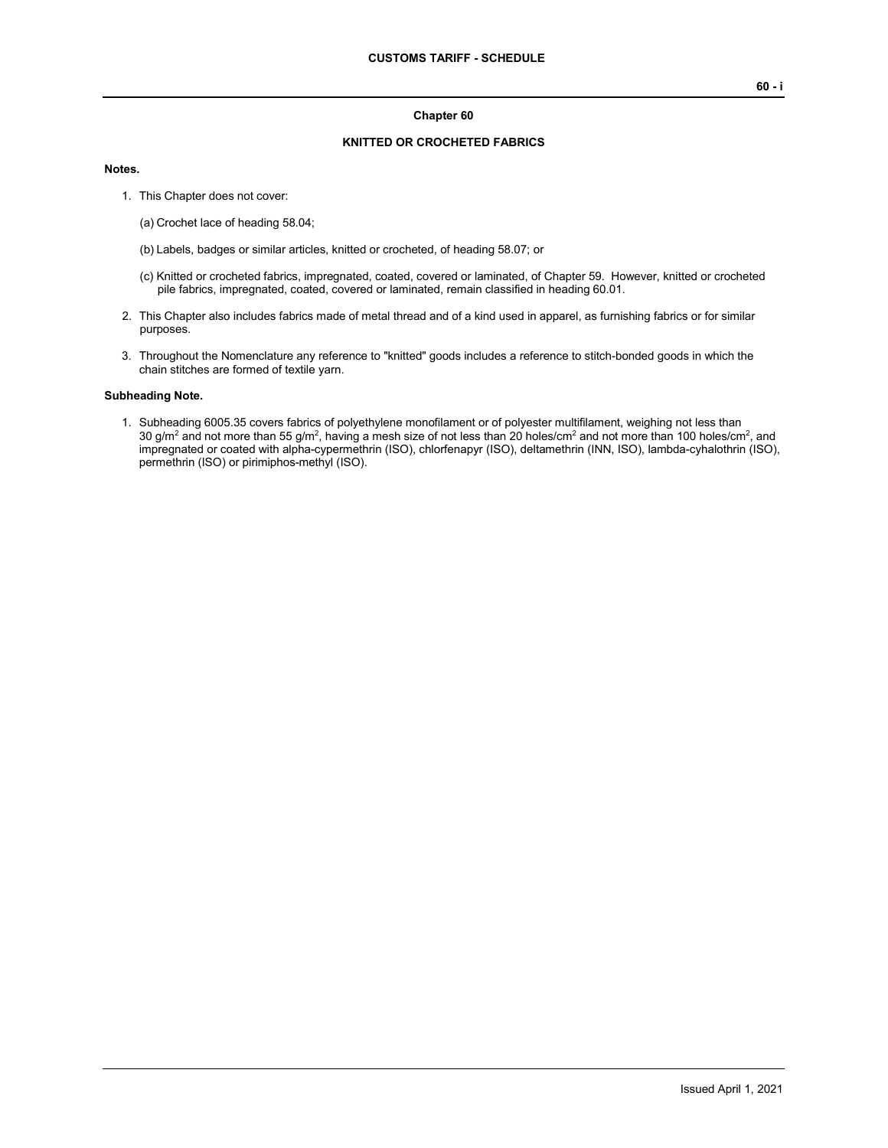#### **Chapter 60**

## **KNITTED OR CROCHETED FABRICS**

### **Notes.**

- 1. This Chapter does not cover:
	- (a) Crochet lace of heading 58.04;
	- (b) Labels, badges or similar articles, knitted or crocheted, of heading 58.07; or
	- (c) Knitted or crocheted fabrics, impregnated, coated, covered or laminated, of Chapter 59. However, knitted or crocheted pile fabrics, impregnated, coated, covered or laminated, remain classified in heading 60.01.
- 2. This Chapter also includes fabrics made of metal thread and of a kind used in apparel, as furnishing fabrics or for similar purposes.
- 3. Throughout the Nomenclature any reference to "knitted" goods includes a reference to stitch-bonded goods in which the chain stitches are formed of textile yarn.

#### **Subheading Note.**

1. Subheading 6005.35 covers fabrics of polyethylene monofilament or of polyester multifilament, weighing not less than 30 g/m² and not more than 55 g/m², having a mesh size of not less than 20 holes/cm² and not more than 100 holes/cm², and impregnated or coated with alpha-cypermethrin (ISO), chlorfenapyr (ISO), deltamethrin (INN, ISO), lambda-cyhalothrin (ISO), permethrin (ISO) or pirimiphos-methyl (ISO).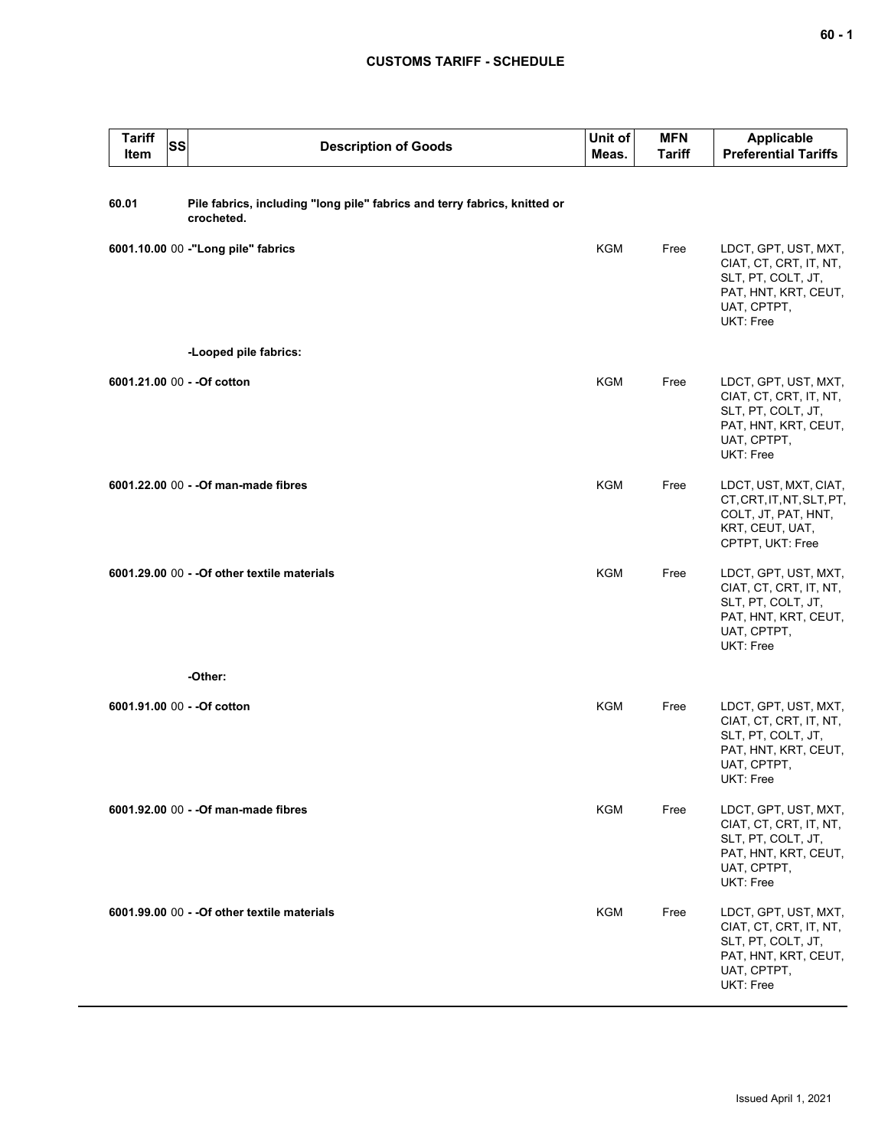# **CUSTOMS TARIFF - SCHEDULE**

| <b>Tariff</b><br><b>SS</b><br>Item | <b>Description of Goods</b>                                                             | Unit of<br>Meas. | <b>MFN</b><br><b>Tariff</b> | <b>Applicable</b><br><b>Preferential Tariffs</b>                                                                                |
|------------------------------------|-----------------------------------------------------------------------------------------|------------------|-----------------------------|---------------------------------------------------------------------------------------------------------------------------------|
| 60.01                              | Pile fabrics, including "long pile" fabrics and terry fabrics, knitted or<br>crocheted. |                  |                             |                                                                                                                                 |
|                                    | 6001.10.00 00 -"Long pile" fabrics                                                      | <b>KGM</b>       | Free                        | LDCT, GPT, UST, MXT,<br>CIAT, CT, CRT, IT, NT,<br>SLT, PT, COLT, JT,<br>PAT, HNT, KRT, CEUT,<br>UAT, CPTPT,<br>UKT: Free        |
|                                    | -Looped pile fabrics:                                                                   |                  |                             |                                                                                                                                 |
| 6001.21.00 00 - - Of cotton        |                                                                                         | <b>KGM</b>       | Free                        | LDCT, GPT, UST, MXT,<br>CIAT, CT, CRT, IT, NT,<br>SLT, PT, COLT, JT,<br>PAT, HNT, KRT, CEUT,<br>UAT, CPTPT,<br>UKT: Free        |
|                                    | 6001.22.00 00 - - Of man-made fibres                                                    | <b>KGM</b>       | Free                        | LDCT, UST, MXT, CIAT,<br>CT, CRT, IT, NT, SLT, PT,<br>COLT, JT, PAT, HNT,<br>KRT, CEUT, UAT,<br>CPTPT, UKT: Free                |
|                                    | 6001.29.00 00 - - Of other textile materials                                            | <b>KGM</b>       | Free                        | LDCT, GPT, UST, MXT,<br>CIAT, CT, CRT, IT, NT,<br>SLT, PT, COLT, JT,<br>PAT, HNT, KRT, CEUT,<br>UAT, CPTPT,<br>UKT: Free        |
|                                    | -Other:                                                                                 |                  |                             |                                                                                                                                 |
| 6001.91.00 00 - - Of cotton        |                                                                                         | KGM              | Free                        | LDCT, GPT, UST, MXT,<br>CIAT, CT, CRT, IT, NT,<br>SLT, PT, COLT, JT,<br>PAT, HNT, KRT, CEUT,<br>UAT, CPTPT,<br>UKT: Free        |
|                                    | 6001.92.00 00 - - Of man-made fibres                                                    | KGM              | Free                        | LDCT, GPT, UST, MXT,<br>CIAT, CT, CRT, IT, NT,<br>SLT, PT, COLT, JT,<br>PAT, HNT, KRT, CEUT,<br>UAT, CPTPT,<br><b>UKT: Free</b> |
|                                    | 6001.99.00 00 - - Of other textile materials                                            | KGM              | Free                        | LDCT, GPT, UST, MXT,<br>CIAT, CT, CRT, IT, NT,<br>SLT, PT, COLT, JT,<br>PAT, HNT, KRT, CEUT,<br>UAT, CPTPT,<br>UKT: Free        |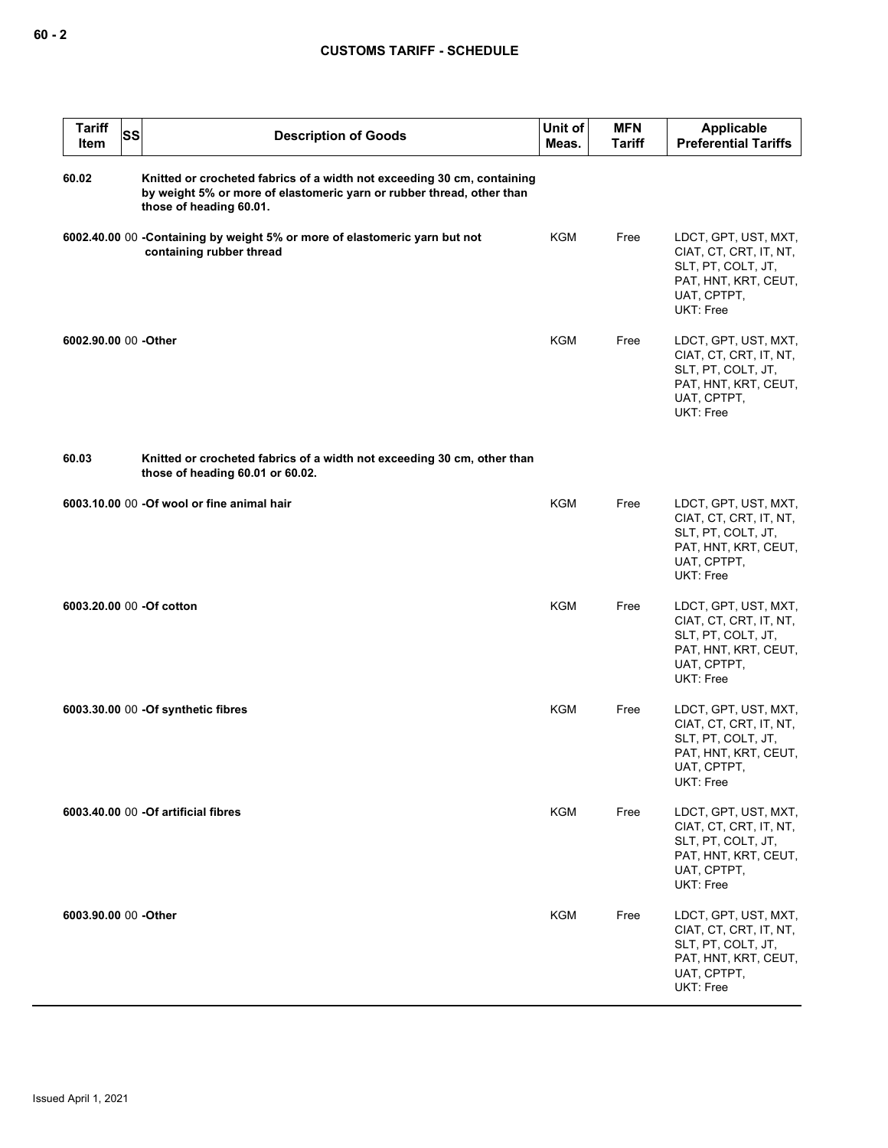| <b>Tariff</b><br>Item    | <b>SS</b> | <b>Description of Goods</b>                                                                                                                                                 | Unit of<br>Meas. | <b>MFN</b><br><b>Tariff</b> | Applicable<br><b>Preferential Tariffs</b>                                                                                |
|--------------------------|-----------|-----------------------------------------------------------------------------------------------------------------------------------------------------------------------------|------------------|-----------------------------|--------------------------------------------------------------------------------------------------------------------------|
| 60.02                    |           | Knitted or crocheted fabrics of a width not exceeding 30 cm, containing<br>by weight 5% or more of elastomeric yarn or rubber thread, other than<br>those of heading 60.01. |                  |                             |                                                                                                                          |
|                          |           | 6002.40.00 00 - Containing by weight 5% or more of elastomeric yarn but not<br>containing rubber thread                                                                     | KGM              | Free                        | LDCT, GPT, UST, MXT,<br>CIAT, CT, CRT, IT, NT,<br>SLT, PT, COLT, JT,<br>PAT, HNT, KRT, CEUT,<br>UAT, CPTPT,<br>UKT: Free |
| 6002.90.00 00 -Other     |           |                                                                                                                                                                             | KGM              | Free                        | LDCT, GPT, UST, MXT,<br>CIAT, CT, CRT, IT, NT,<br>SLT, PT, COLT, JT,<br>PAT, HNT, KRT, CEUT,<br>UAT, CPTPT,<br>UKT: Free |
| 60.03                    |           | Knitted or crocheted fabrics of a width not exceeding 30 cm, other than<br>those of heading 60.01 or 60.02.                                                                 |                  |                             |                                                                                                                          |
|                          |           | 6003.10.00 00 -Of wool or fine animal hair                                                                                                                                  | KGM              | Free                        | LDCT, GPT, UST, MXT,<br>CIAT, CT, CRT, IT, NT,<br>SLT, PT, COLT, JT,<br>PAT, HNT, KRT, CEUT,<br>UAT, CPTPT,<br>UKT: Free |
| 6003.20.00 00 -Of cotton |           |                                                                                                                                                                             | <b>KGM</b>       | Free                        | LDCT, GPT, UST, MXT,<br>CIAT, CT, CRT, IT, NT,<br>SLT, PT, COLT, JT,<br>PAT, HNT, KRT, CEUT,<br>UAT, CPTPT,<br>UKT: Free |
|                          |           | 6003.30.00 00 -Of synthetic fibres                                                                                                                                          | <b>KGM</b>       | Free                        | LDCT, GPT, UST, MXT,<br>CIAT, CT, CRT, IT, NT,<br>SLT, PT, COLT, JT,<br>PAT, HNT, KRT, CEUT,<br>UAT, CPTPT,<br>UKT: Free |
|                          |           | 6003.40.00 00 - Of artificial fibres                                                                                                                                        | KGM              | Free                        | LDCT, GPT, UST, MXT,<br>CIAT, CT, CRT, IT, NT,<br>SLT, PT, COLT, JT,<br>PAT, HNT, KRT, CEUT,<br>UAT, CPTPT,<br>UKT: Free |
| 6003.90.00 00 -Other     |           |                                                                                                                                                                             | <b>KGM</b>       | Free                        | LDCT, GPT, UST, MXT,<br>CIAT, CT, CRT, IT, NT,<br>SLT, PT, COLT, JT,<br>PAT, HNT, KRT, CEUT,<br>UAT, CPTPT,<br>UKT: Free |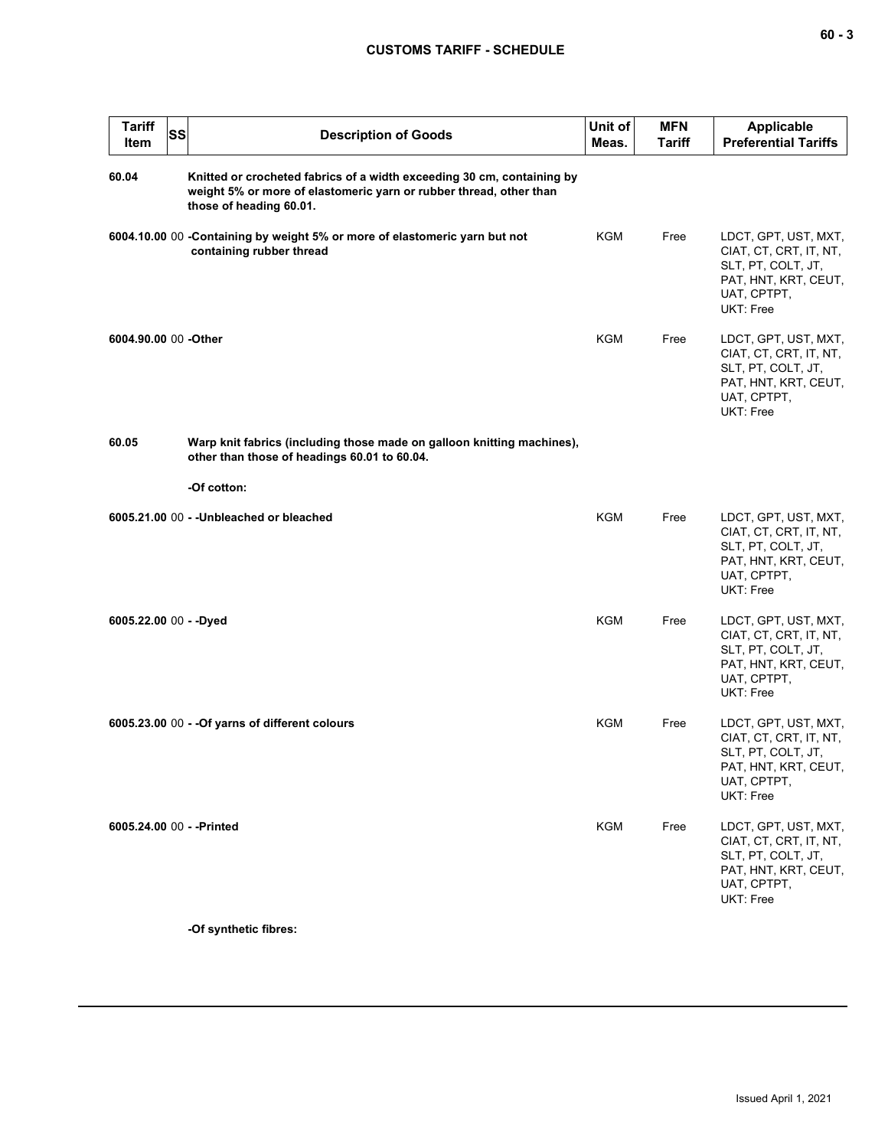| $\sim$<br>$\sim$ |  | -<br>۰. |
|------------------|--|---------|
|------------------|--|---------|

| <b>Tariff</b><br><b>SS</b><br>Item | <b>Description of Goods</b>                                                                                                                                             | Unit of<br>Meas. | <b>MFN</b><br>Tariff | Applicable<br><b>Preferential Tariffs</b>                                                                                |
|------------------------------------|-------------------------------------------------------------------------------------------------------------------------------------------------------------------------|------------------|----------------------|--------------------------------------------------------------------------------------------------------------------------|
| 60.04                              | Knitted or crocheted fabrics of a width exceeding 30 cm, containing by<br>weight 5% or more of elastomeric yarn or rubber thread, other than<br>those of heading 60.01. |                  |                      |                                                                                                                          |
|                                    | 6004.10.00 00 - Containing by weight 5% or more of elastomeric yarn but not<br>containing rubber thread                                                                 | KGM              | Free                 | LDCT, GPT, UST, MXT,<br>CIAT, CT, CRT, IT, NT,<br>SLT, PT, COLT, JT,<br>PAT, HNT, KRT, CEUT,<br>UAT, CPTPT,<br>UKT: Free |
| 6004.90.00 00 -Other               |                                                                                                                                                                         | <b>KGM</b>       | Free                 | LDCT, GPT, UST, MXT,<br>CIAT, CT, CRT, IT, NT,<br>SLT, PT, COLT, JT,<br>PAT, HNT, KRT, CEUT,<br>UAT, CPTPT,<br>UKT: Free |
| 60.05                              | Warp knit fabrics (including those made on galloon knitting machines),<br>other than those of headings 60.01 to 60.04.                                                  |                  |                      |                                                                                                                          |
|                                    | -Of cotton:                                                                                                                                                             |                  |                      |                                                                                                                          |
|                                    | 6005.21.00 00 - - Unbleached or bleached                                                                                                                                | <b>KGM</b>       | Free                 | LDCT, GPT, UST, MXT,<br>CIAT, CT, CRT, IT, NT,<br>SLT, PT, COLT, JT,<br>PAT, HNT, KRT, CEUT,<br>UAT, CPTPT,<br>UKT: Free |
| 6005.22.00 00 - - Dyed             |                                                                                                                                                                         | <b>KGM</b>       | Free                 | LDCT, GPT, UST, MXT,<br>CIAT, CT, CRT, IT, NT,<br>SLT, PT, COLT, JT,<br>PAT, HNT, KRT, CEUT,<br>UAT, CPTPT,<br>UKT: Free |
|                                    | 6005.23.00 00 - - Of yarns of different colours                                                                                                                         | KGM              | Free                 | LDCT, GPT, UST, MXT,<br>CIAT, CT, CRT, IT, NT,<br>SLT, PT, COLT, JT,<br>PAT, HNT, KRT, CEUT,<br>UAT, CPTPT,<br>UKT: Free |
| 6005.24.00 00 - - Printed          |                                                                                                                                                                         | <b>KGM</b>       | Free                 | LDCT, GPT, UST, MXT,<br>CIAT, CT, CRT, IT, NT,<br>SLT, PT, COLT, JT,<br>PAT, HNT, KRT, CEUT,<br>UAT, CPTPT,<br>UKT: Free |
|                                    | ∩f aunthatia fihraa:                                                                                                                                                    |                  |                      |                                                                                                                          |

**-Of synthetic fibres:**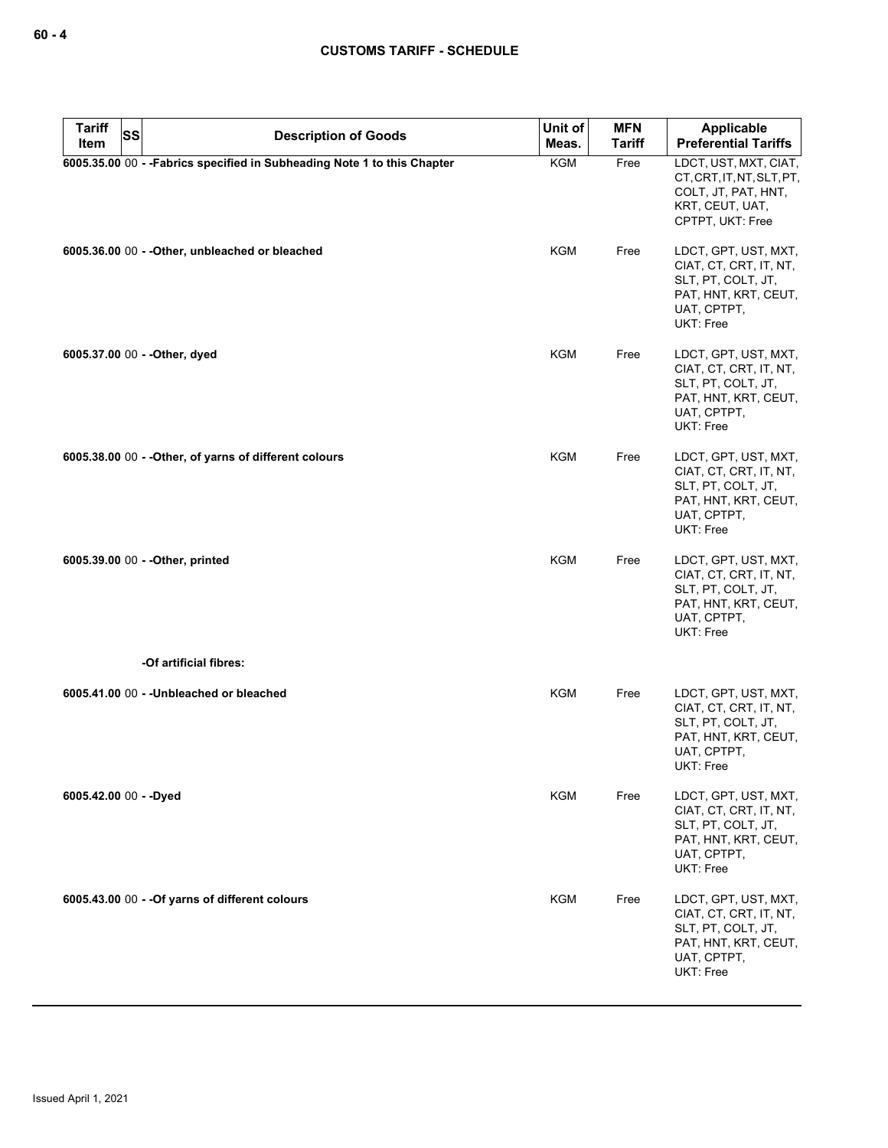| <b>Tariff</b><br><b>SS</b><br>Item | <b>Description of Goods</b>                                              | Unit of<br>Meas. | <b>MFN</b><br><b>Tariff</b> | <b>Applicable</b><br><b>Preferential Tariffs</b>                                                                         |
|------------------------------------|--------------------------------------------------------------------------|------------------|-----------------------------|--------------------------------------------------------------------------------------------------------------------------|
|                                    | 6005.35.00 00 - - Fabrics specified in Subheading Note 1 to this Chapter | KGM              | Free                        | LDCT, UST, MXT, CIAT,<br>CT, CRT, IT, NT, SLT, PT,<br>COLT, JT, PAT, HNT,<br>KRT, CEUT, UAT,<br>CPTPT, UKT: Free         |
|                                    | 6005.36.00 00 - - Other, unbleached or bleached                          | KGM              | Free                        | LDCT, GPT, UST, MXT,<br>CIAT, CT, CRT, IT, NT,<br>SLT, PT, COLT, JT,<br>PAT, HNT, KRT, CEUT,<br>UAT, CPTPT,<br>UKT: Free |
| 6005.37.00 00 - - Other, dyed      |                                                                          | KGM              | Free                        | LDCT, GPT, UST, MXT,<br>CIAT, CT, CRT, IT, NT,<br>SLT, PT, COLT, JT,<br>PAT, HNT, KRT, CEUT,<br>UAT, CPTPT,<br>UKT: Free |
|                                    | 6005.38.00 00 - - Other, of yarns of different colours                   | KGM              | Free                        | LDCT, GPT, UST, MXT,<br>CIAT, CT, CRT, IT, NT,<br>SLT, PT, COLT, JT,<br>PAT, HNT, KRT, CEUT,<br>UAT, CPTPT,<br>UKT: Free |
|                                    | 6005.39.00 00 - - Other, printed                                         | KGM              | Free                        | LDCT, GPT, UST, MXT,<br>CIAT, CT, CRT, IT, NT,<br>SLT, PT, COLT, JT,<br>PAT, HNT, KRT, CEUT,<br>UAT, CPTPT,<br>UKT: Free |
|                                    | -Of artificial fibres:                                                   |                  |                             |                                                                                                                          |
|                                    | 6005.41.00 00 - - Unbleached or bleached                                 | <b>KGM</b>       | Free                        | LDCT, GPT, UST, MXT,<br>CIAT, CT, CRT, IT, NT,<br>SLT, PT, COLT, JT,<br>PAT, HNT, KRT, CEUT,<br>UAT, CPTPT,<br>UKT: Free |
| 6005.42.00 00 - - Dyed             |                                                                          | <b>KGM</b>       | Free                        | LDCT, GPT, UST, MXT,<br>CIAT, CT, CRT, IT, NT,<br>SLT, PT, COLT, JT,<br>PAT, HNT, KRT, CEUT,<br>UAT, CPTPT,<br>UKT: Free |
|                                    | 6005.43.00 00 - - Of yarns of different colours                          | <b>KGM</b>       | Free                        | LDCT, GPT, UST, MXT,<br>CIAT, CT, CRT, IT, NT,<br>SLT, PT, COLT, JT,<br>PAT, HNT, KRT, CEUT,<br>UAT, CPTPT,<br>UKT: Free |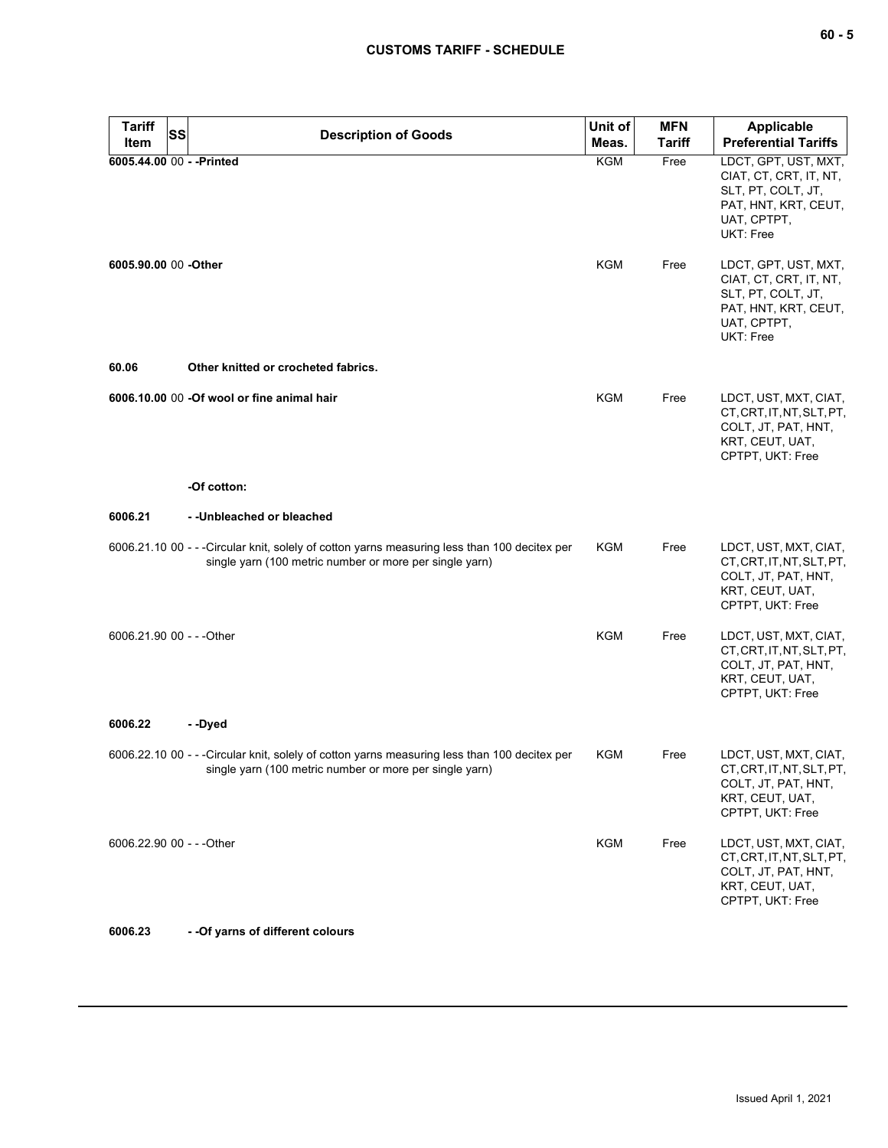| <b>Tariff</b>             | <b>SS</b><br><b>Description of Goods</b>                                                                                                                | Unit of    | <b>MFN</b>    | Applicable                                                                                                               |
|---------------------------|---------------------------------------------------------------------------------------------------------------------------------------------------------|------------|---------------|--------------------------------------------------------------------------------------------------------------------------|
| Item                      |                                                                                                                                                         | Meas.      | <b>Tariff</b> | <b>Preferential Tariffs</b>                                                                                              |
| 6005.44.00 00 - - Printed |                                                                                                                                                         | <b>KGM</b> | Free          | LDCT, GPT, UST, MXT,<br>CIAT, CT, CRT, IT, NT,<br>SLT, PT, COLT, JT,<br>PAT, HNT, KRT, CEUT,<br>UAT, CPTPT,<br>UKT: Free |
| 6005.90.00 00 -Other      |                                                                                                                                                         | KGM        | Free          | LDCT, GPT, UST, MXT,<br>CIAT, CT, CRT, IT, NT,<br>SLT, PT, COLT, JT,<br>PAT, HNT, KRT, CEUT,<br>UAT, CPTPT,<br>UKT: Free |
| 60.06                     | Other knitted or crocheted fabrics.                                                                                                                     |            |               |                                                                                                                          |
|                           | 6006.10.00 00 -Of wool or fine animal hair                                                                                                              | <b>KGM</b> | Free          | LDCT, UST, MXT, CIAT,<br>CT, CRT, IT, NT, SLT, PT,<br>COLT, JT, PAT, HNT,<br>KRT, CEUT, UAT,<br>CPTPT, UKT: Free         |
|                           | -Of cotton:                                                                                                                                             |            |               |                                                                                                                          |
| 6006.21                   | --Unbleached or bleached                                                                                                                                |            |               |                                                                                                                          |
|                           | 6006.21.10 00 - - -Circular knit, solely of cotton yarns measuring less than 100 decitex per<br>single yarn (100 metric number or more per single yarn) | KGM        | Free          | LDCT, UST, MXT, CIAT,<br>CT, CRT, IT, NT, SLT, PT,<br>COLT, JT, PAT, HNT,<br>KRT, CEUT, UAT,<br>CPTPT, UKT: Free         |
| 6006.21.90 00 - - - Other |                                                                                                                                                         | <b>KGM</b> | Free          | LDCT, UST, MXT, CIAT,<br>CT, CRT, IT, NT, SLT, PT,<br>COLT, JT, PAT, HNT,<br>KRT, CEUT, UAT,<br>CPTPT, UKT: Free         |
| 6006.22                   | --Dyed                                                                                                                                                  |            |               |                                                                                                                          |
|                           | 6006.22.10 00 - - -Circular knit, solely of cotton yarns measuring less than 100 decitex per<br>single yarn (100 metric number or more per single yarn) | KGM        | Free          | LDCT, UST, MXT, CIAT,<br>CT, CRT, IT, NT, SLT, PT,<br>COLT, JT, PAT, HNT,<br>KRT, CEUT, UAT,<br>CPTPT, UKT: Free         |
| 6006.22.90 00 - - - Other |                                                                                                                                                         | KGM        | Free          | LDCT, UST, MXT, CIAT,<br>CT, CRT, IT, NT, SLT, PT,<br>COLT, JT, PAT, HNT,<br>KRT, CEUT, UAT,<br>CPTPT, UKT: Free         |

**6006.23 - -Of yarns of different colours**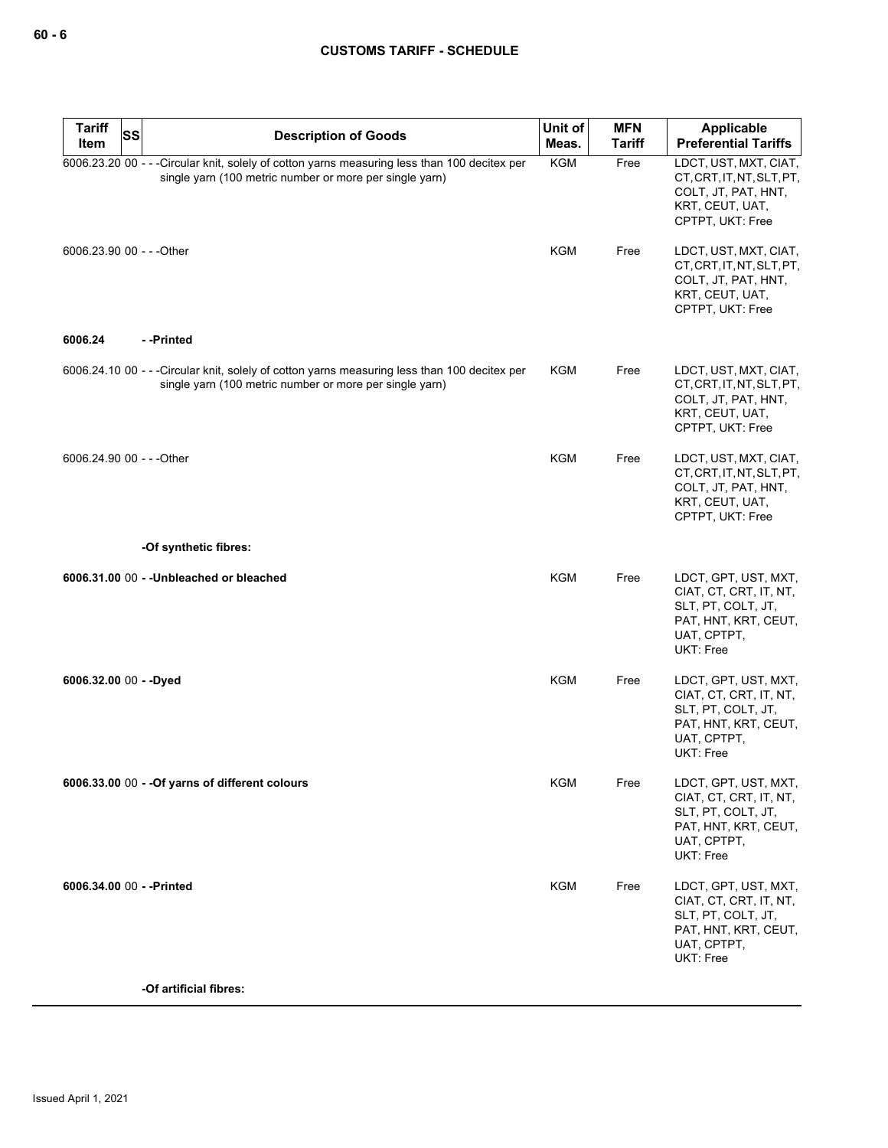| <b>Tariff</b><br><b>SS</b><br>Item | <b>Description of Goods</b>                                                                                                                              | Unit of<br>Meas. | <b>MFN</b><br><b>Tariff</b> | Applicable<br><b>Preferential Tariffs</b>                                                                                |
|------------------------------------|----------------------------------------------------------------------------------------------------------------------------------------------------------|------------------|-----------------------------|--------------------------------------------------------------------------------------------------------------------------|
|                                    | 6006.23.20 00 - - - Circular knit, solely of cotton yarns measuring less than 100 decitex per<br>single yarn (100 metric number or more per single yarn) | <b>KGM</b>       | Free                        | LDCT, UST, MXT, CIAT,<br>CT, CRT, IT, NT, SLT, PT,<br>COLT, JT, PAT, HNT,<br>KRT, CEUT, UAT,<br>CPTPT, UKT: Free         |
| 6006.23.90 00 - - - Other          |                                                                                                                                                          | <b>KGM</b>       | Free                        | LDCT, UST, MXT, CIAT,<br>CT, CRT, IT, NT, SLT, PT,<br>COLT, JT, PAT, HNT,<br>KRT, CEUT, UAT,<br>CPTPT, UKT: Free         |
| 6006.24                            | - -Printed                                                                                                                                               |                  |                             |                                                                                                                          |
|                                    | 6006.24.10 00 - - - Circular knit, solely of cotton yarns measuring less than 100 decitex per<br>single yarn (100 metric number or more per single yarn) | KGM              | Free                        | LDCT, UST, MXT, CIAT,<br>CT, CRT, IT, NT, SLT, PT,<br>COLT, JT, PAT, HNT,<br>KRT, CEUT, UAT,<br>CPTPT, UKT: Free         |
| 6006.24.90 00 - - - Other          |                                                                                                                                                          | KGM              | Free                        | LDCT, UST, MXT, CIAT,<br>CT, CRT, IT, NT, SLT, PT,<br>COLT, JT, PAT, HNT,<br>KRT, CEUT, UAT,<br>CPTPT, UKT: Free         |
|                                    | -Of synthetic fibres:                                                                                                                                    |                  |                             |                                                                                                                          |
|                                    | 6006.31.00 00 - - Unbleached or bleached                                                                                                                 | <b>KGM</b>       | Free                        | LDCT, GPT, UST, MXT,<br>CIAT, CT, CRT, IT, NT,<br>SLT, PT, COLT, JT,<br>PAT, HNT, KRT, CEUT,<br>UAT, CPTPT,<br>UKT: Free |
| 6006.32.00 00 - - Dyed             |                                                                                                                                                          | KGM              | Free                        | LDCT, GPT, UST, MXT,<br>CIAT, CT, CRT, IT, NT,<br>SLT, PT, COLT, JT,<br>PAT, HNT, KRT, CEUT,<br>UAT, CPTPT,<br>UKT: Free |
|                                    | 6006.33.00 00 - - Of yarns of different colours                                                                                                          | <b>KGM</b>       | Free                        | LDCT, GPT, UST, MXT,<br>CIAT, CT, CRT, IT, NT,<br>SLT, PT, COLT, JT,<br>PAT, HNT, KRT, CEUT,<br>UAT, CPTPT,<br>UKT: Free |
| 6006.34.00 00 - - Printed          |                                                                                                                                                          | <b>KGM</b>       | Free                        | LDCT, GPT, UST, MXT,<br>CIAT, CT, CRT, IT, NT,<br>SLT, PT, COLT, JT,<br>PAT, HNT, KRT, CEUT,<br>UAT, CPTPT,<br>UKT: Free |
|                                    | -Of artificial fibres:                                                                                                                                   |                  |                             |                                                                                                                          |